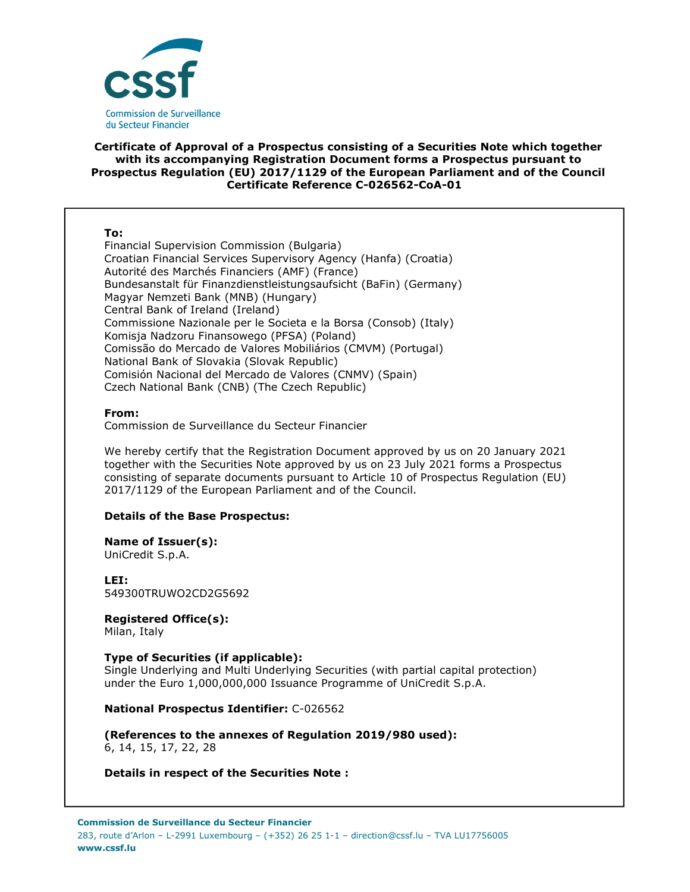

# **Certificate of Approval of a Prospectus consisting of a Securities Note which together with its accompanying Registration Document forms a Prospectus pursuant to Prospectus Regulation (EU) 2017/1129 of the European Parliament and of the Council Certificate Reference C-026562-CoA-01**

### **To:**

Financial Supervision Commission (Bulgaria) Croatian Financial Services Supervisory Agency (Hanfa) (Croatia) Autorité des Marchés Financiers (AMF) (France) Bundesanstalt für Finanzdienstleistungsaufsicht (BaFin) (Germany) Magyar Nemzeti Bank (MNB) (Hungary) Central Bank of Ireland (Ireland) Commissione Nazionale per le Societa e la Borsa (Consob) (Italy) Komisja Nadzoru Finansowego (PFSA) (Poland) Comissão do Mercado de Valores Mobiliários (CMVM) (Portugal) National Bank of Slovakia (Slovak Republic) Comisión Nacional del Mercado de Valores (CNMV) (Spain) Czech National Bank (CNB) (The Czech Republic)

#### **From:**

Commission de Surveillance du Secteur Financier

We hereby certify that the Registration Document approved by us on 20 January 2021 together with the Securities Note approved by us on 23 July 2021 forms a Prospectus consisting of separate documents pursuant to Article 10 of Prospectus Regulation (EU) 2017/1129 of the European Parliament and of the Council.

# **Details of the Base Prospectus:**

#### **Name of Issuer(s):**  UniCredit S.p.A.

**LEI:** 549300TRUWO2CD2G5692

# **Registered Office(s):**

Milan, Italy

# **Type of Securities (if applicable):**

Single Underlying and Multi Underlying Securities (with partial capital protection) under the Euro 1,000,000,000 Issuance Programme of UniCredit S.p.A.

# **National Prospectus Identifier:** C-026562

**(References to the annexes of Regulation 2019/980 used):**  6, 14, 15, 17, 22, 28

# **Details in respect of the Securities Note :**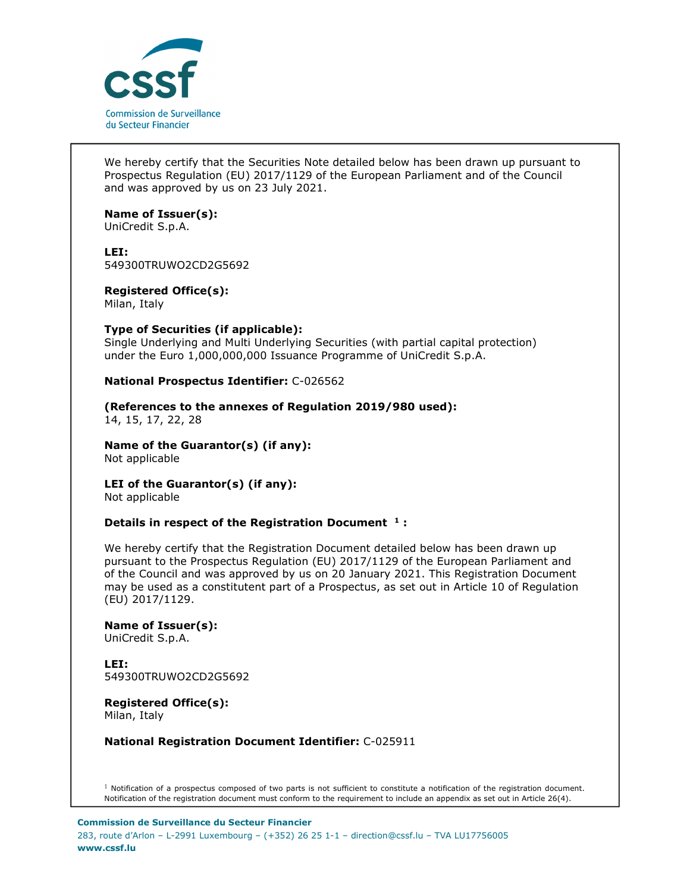

We hereby certify that the Securities Note detailed below has been drawn up pursuant to Prospectus Regulation (EU) 2017/1129 of the European Parliament and of the Council and was approved by us on 23 July 2021.

# **Name of Issuer(s):**

UniCredit S.p.A.

### **LEI:**

549300TRUWO2CD2G5692

**Registered Office(s):**  Milan, Italy

# **Type of Securities (if applicable):**

Single Underlying and Multi Underlying Securities (with partial capital protection) under the Euro 1,000,000,000 Issuance Programme of UniCredit S.p.A.

# **National Prospectus Identifier:** C-026562

# **(References to the annexes of Regulation 2019/980 used):**

14, 15, 17, 22, 28

#### **Name of the Guarantor(s) (if any):**  Not applicable

# **LEI of the Guarantor(s) (if any):**

Not applicable

# **Details in respect of the Registration Document <sup>1</sup> :**

We hereby certify that the Registration Document detailed below has been drawn up pursuant to the Prospectus Regulation (EU) 2017/1129 of the European Parliament and of the Council and was approved by us on 20 January 2021. This Registration Document may be used as a constitutent part of a Prospectus, as set out in Article 10 of Regulation (EU) 2017/1129.

**Name of Issuer(s):**  UniCredit S.p.A.

**LEI:** 549300TRUWO2CD2G5692

**Registered Office(s):**  Milan, Italy

**National Registration Document Identifier:** C-025911

 $1$  Notification of a prospectus composed of two parts is not sufficient to constitute a notification of the registration document. Notification of the registration document must conform to the requirement to include an appendix as set out in Article 26(4).